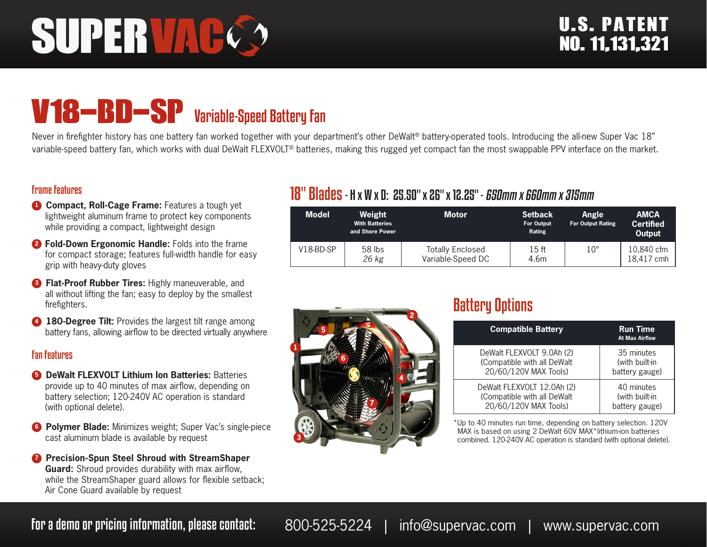# **SUPERVAC**

## V18-BD-SP Variable-Speed Battery Fan

Never in firefighter history has one battery fan worked together with your department's other DeWalt® battery-operated tools. Introducing the all-new Super Vac 18" variable-speed battery fan, which works with dual DeWalt FLEXVOLT® batteries, making this rugged yet compact fan the most swappable PPV interface on the market.

#### Frame Features

- **1 Compact, Roll-Cage Frame:** Features a tough yet lightweight aluminum frame to protect key components while providing a compact, lightweight design
- **<sup>2</sup> Fold-Down Ergonomic Handle:** Folds into the frame for compact storage; features full-width handle for easy grip with heavy-duty gloves
- **8 Flat-Proof Rubber Tires:** Highly maneuverable, and all without lifting the fan; easy to deploy by the smallest firefighters.
- **4 180-Degree Tilt:** Provides the largest tilt range among battery fans, allowing airflow to be directed virtually anywhere

#### Fan Features

- **6 DeWalt FLEXVOLT Lithium Ion Batteries: Batteries** provide up to 40 minutes of max airflow, depending on battery selection; 120-240V AC operation is standard (with optional delete).
- **6 Polymer Blade:** Minimizes weight; Super Vac's single-piece cast aluminum blade is available by request
- **<sup>7</sup> Precision-Spun Steel Shroud with StreamShaper Guard:** Shroud provides durability with max airflow, while the StreamShaper guard allows for flexible setback; Air Cone Guard available by request

#### 18" Blades- H x W x D: 25.50" x 26" x 12.25" - 650mm x 660mm x 315mm

| <b>Model</b> | Weight<br><b>With Batteries</b><br>and Shore Power | <b>Motor</b>                                 | <b>Setback</b><br>For Output<br>Rating | <b>Angle</b><br><b>For Output Rating</b> | <b>AMCA</b><br><b>Certified</b><br>Output |
|--------------|----------------------------------------------------|----------------------------------------------|----------------------------------------|------------------------------------------|-------------------------------------------|
| $V18-BD-SP$  | 58 lbs<br>26 kg                                    | <b>Totally Enclosed</b><br>Variable-Speed DC | 15 ft<br>4.6m                          | $10^{\circ}$                             | 10,840 cfm<br>18.417 cmh                  |



### Battery Options

| <b>Compatible Battery</b>   | <b>Run Time</b><br><b>At Max Airflow</b> |
|-----------------------------|------------------------------------------|
| DeWalt FLEXVOLT 9.0Ah (2)   | 35 minutes                               |
| (Compatible with all DeWalt | (with built-in                           |
| 20/60/120V MAX Tools)       | battery gauge)                           |
| DeWalt FLEXVOLT 12.0Ah (2)  | 40 minutes                               |
| (Compatible with all DeWalt | (with built-in                           |
| 20/60/120V MAX Tools)       | battery gauge)                           |

\*Up to 40 minutes run time, depending on battery selection. 120V MAX is based on using 2 DeWalt 60V MAX\*lithium-ion batteries combined. 120-240V AC operation is standard (with optional delete).